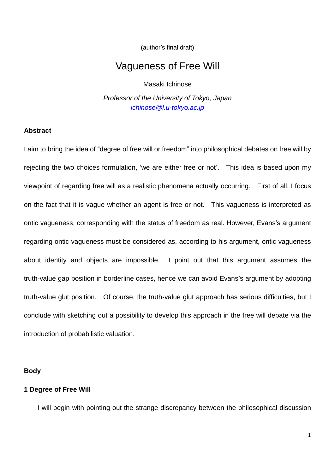(author's final draft)

# Vagueness of Free Will

Masaki Ichinose

*Professor of the University of Tokyo, Japan [ichinose@l.u-tokyo.ac.jp](mailto:ichinose@l.u-tokyo.ac.jp)*

#### **Abstract**

I aim to bring the idea of "degree of free will or freedom" into philosophical debates on free will by rejecting the two choices formulation, 'we are either free or not'. This idea is based upon my viewpoint of regarding free will as a realistic phenomena actually occurring. First of all, I focus on the fact that it is vague whether an agent is free or not. This vagueness is interpreted as ontic vagueness, corresponding with the status of freedom as real. However, Evans's argument regarding ontic vagueness must be considered as, according to his argument, ontic vagueness about identity and objects are impossible. I point out that this argument assumes the truth-value gap position in borderline cases, hence we can avoid Evans's argument by adopting truth-value glut position. Of course, the truth-value glut approach has serious difficulties, but I conclude with sketching out a possibility to develop this approach in the free will debate via the introduction of probabilistic valuation.

#### **Body**

### **1 Degree of Free Will**

I will begin with pointing out the strange discrepancy between the philosophical discussion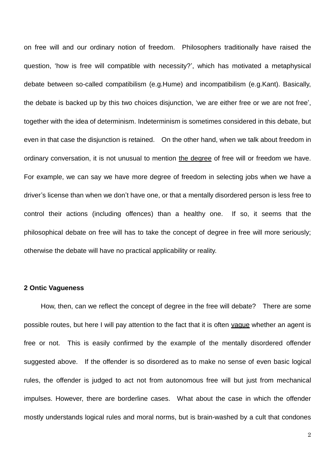on free will and our ordinary notion of freedom. Philosophers traditionally have raised the question, 'how is free will compatible with necessity?', which has motivated a metaphysical debate between so-called compatibilism (e.g.Hume) and incompatibilism (e.g.Kant). Basically, the debate is backed up by this two choices disjunction, 'we are either free or we are not free', together with the idea of determinism. Indeterminism is sometimes considered in this debate, but even in that case the disjunction is retained. On the other hand, when we talk about freedom in ordinary conversation, it is not unusual to mention the degree of free will or freedom we have. For example, we can say we have more degree of freedom in selecting jobs when we have a driver's license than when we don't have one, or that a mentally disordered person is less free to control their actions (including offences) than a healthy one. If so, it seems that the philosophical debate on free will has to take the concept of degree in free will more seriously; otherwise the debate will have no practical applicability or reality.

# **2 Ontic Vagueness**

How, then, can we reflect the concept of degree in the free will debate? There are some possible routes, but here I will pay attention to the fact that it is often vague whether an agent is free or not. This is easily confirmed by the example of the mentally disordered offender suggested above. If the offender is so disordered as to make no sense of even basic logical rules, the offender is judged to act not from autonomous free will but just from mechanical impulses. However, there are borderline cases. What about the case in which the offender mostly understands logical rules and moral norms, but is brain-washed by a cult that condones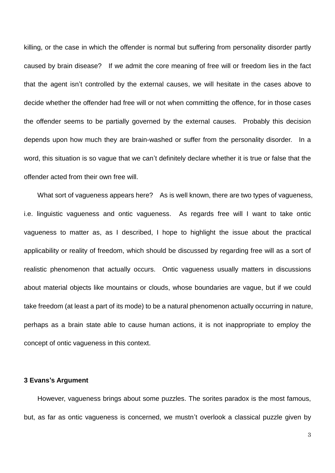killing, or the case in which the offender is normal but suffering from personality disorder partly caused by brain disease? If we admit the core meaning of free will or freedom lies in the fact that the agent isn't controlled by the external causes, we will hesitate in the cases above to decide whether the offender had free will or not when committing the offence, for in those cases the offender seems to be partially governed by the external causes. Probably this decision depends upon how much they are brain-washed or suffer from the personality disorder. In a word, this situation is so vague that we can't definitely declare whether it is true or false that the offender acted from their own free will.

What sort of vagueness appears here? As is well known, there are two types of vagueness, i.e. linguistic vagueness and ontic vagueness. As regards free will I want to take ontic vagueness to matter as, as I described, I hope to highlight the issue about the practical applicability or reality of freedom, which should be discussed by regarding free will as a sort of realistic phenomenon that actually occurs. Ontic vagueness usually matters in discussions about material objects like mountains or clouds, whose boundaries are vague, but if we could take freedom (at least a part of its mode) to be a natural phenomenon actually occurring in nature, perhaps as a brain state able to cause human actions, it is not inappropriate to employ the concept of ontic vagueness in this context.

# **3 Evans's Argument**

However, vagueness brings about some puzzles. The sorites paradox is the most famous, but, as far as ontic vagueness is concerned, we mustn't overlook a classical puzzle given by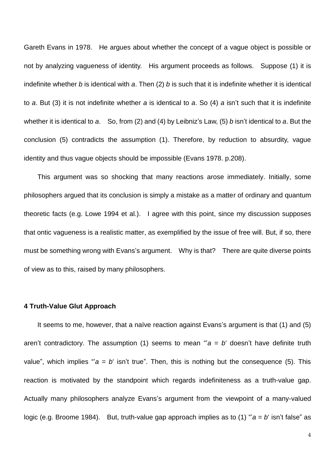Gareth Evans in 1978. He argues about whether the concept of a vague object is possible or not by analyzing vagueness of identity. His argument proceeds as follows. Suppose (1) it is indefinite whether *b* is identical with *a*. Then (2) *b* is such that it is indefinite whether it is identical to *a*. But (3) it is not indefinite whether *a* is identical to *a*. So (4) *a* isn't such that it is indefinite whether it is identical to *a*. So, from (2) and (4) by Leibniz's Law, (5) *b* isn't identical to *a*. But the conclusion (5) contradicts the assumption (1). Therefore, by reduction to absurdity, vague identity and thus vague objects should be impossible (Evans 1978. p.208).

 This argument was so shocking that many reactions arose immediately. Initially, some philosophers argued that its conclusion is simply a mistake as a matter of ordinary and quantum theoretic facts (e.g. Lowe 1994 et al.). I agree with this point, since my discussion supposes that ontic vagueness is a realistic matter, as exemplified by the issue of free will. But, if so, there must be something wrong with Evans's argument. Why is that? There are quite diverse points of view as to this, raised by many philosophers.

## **4 Truth-Value Glut Approach**

It seems to me, however, that a naïve reaction against Evans's argument is that (1) and (5) aren't contradictory. The assumption (1) seems to mean " $a = b$  doesn't have definite truth value", which implies " $a = b'$  isn't true". Then, this is nothing but the consequence (5). This reaction is motivated by the standpoint which regards indefiniteness as a truth-value gap. Actually many philosophers analyze Evans's argument from the viewpoint of a many-valued logic (e.g. Broome 1984). But, truth-value gap approach implies as to (1) "'*a* = *b*' isn't false" as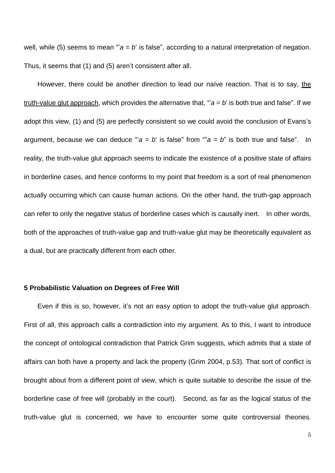well, while (5) seems to mean " $a = b$  is false", according to a natural interpretation of negation. Thus, it seems that (1) and (5) aren't consistent after all.

 However, there could be another direction to lead our naïve reaction. That is to say, the truth-value glut approach, which provides the alternative that, " $a = b$  is both true and false". If we adopt this view, (1) and (5) are perfectly consistent so we could avoid the conclusion of Evans's argument, because we can deduce " $a = b$  is false" from " $a = b$ " is both true and false". In reality, the truth-value glut approach seems to indicate the existence of a positive state of affairs in borderline cases, and hence conforms to my point that freedom is a sort of real phenomenon actually occurring which can cause human actions. On the other hand, the truth-gap approach can refer to only the negative status of borderline cases which is causally inert. In other words, both of the approaches of truth-value gap and truth-value glut may be theoretically equivalent as a dual, but are practically different from each other.

## **5 Probabilistic Valuation on Degrees of Free Will**

 Even if this is so, however, it's not an easy option to adopt the truth-value glut approach. First of all, this approach calls a contradiction into my argument. As to this, I want to introduce the concept of ontological contradiction that Patrick Grim suggests, which admits that a state of affairs can both have a property and lack the property (Grim 2004, p.53). That sort of conflict is brought about from a different point of view, which is quite suitable to describe the issue of the borderline case of free will (probably in the court). Second, as far as the logical status of the truth-value glut is concerned, we have to encounter some quite controversial theories.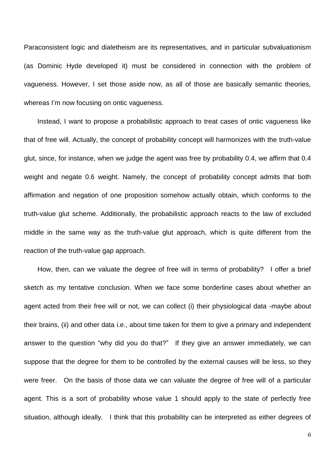Paraconsistent logic and dialetheism are its representatives, and in particular subvaluationism (as Dominic Hyde developed it) must be considered in connection with the problem of vagueness. However, I set those aside now, as all of those are basically semantic theories, whereas I'm now focusing on ontic vagueness.

 Instead, I want to propose a probabilistic approach to treat cases of ontic vagueness like that of free will. Actually, the concept of probability concept will harmonizes with the truth-value glut, since, for instance, when we judge the agent was free by probability 0.4, we affirm that 0.4 weight and negate 0.6 weight. Namely, the concept of probability concept admits that both affirmation and negation of one proposition somehow actually obtain, which conforms to the truth-value glut scheme. Additionally, the probabilistic approach reacts to the law of excluded middle in the same way as the truth-value glut approach, which is quite different from the reaction of the truth-value gap approach.

 How, then, can we valuate the degree of free will in terms of probability? I offer a brief sketch as my tentative conclusion. When we face some borderline cases about whether an agent acted from their free will or not, we can collect (i) their physiological data -maybe about their brains, (ii) and other data i.e., about time taken for them to give a primary and independent answer to the question "why did you do that?" If they give an answer immediately, we can suppose that the degree for them to be controlled by the external causes will be less, so they were freer. On the basis of those data we can valuate the degree of free will of a particular agent. This is a sort of probability whose value 1 should apply to the state of perfectly free situation, although ideally. I think that this probability can be interpreted as either degrees of